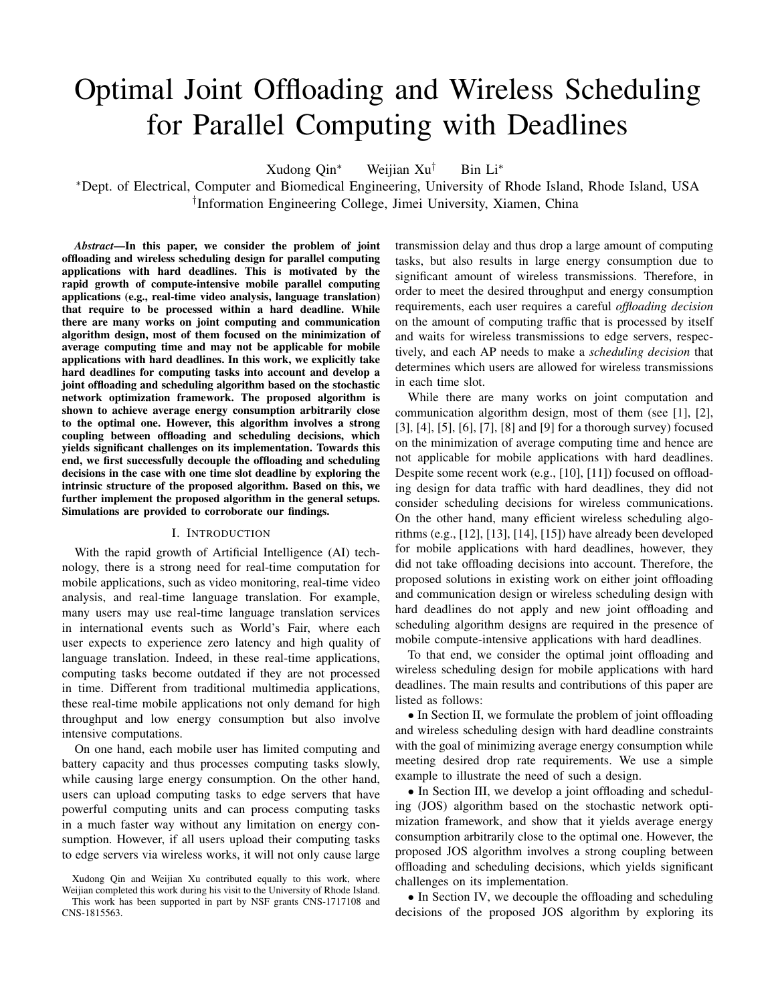# Optimal Joint Offloading and Wireless Scheduling for Parallel Computing with Deadlines

Xudong Qin<sup>∗</sup> Weijian Xu<sup>†</sup> Bin Li<sup>\*</sup>

<sup>∗</sup>Dept. of Electrical, Computer and Biomedical Engineering, University of Rhode Island, Rhode Island, USA † Information Engineering College, Jimei University, Xiamen, China

*Abstract*—In this paper, we consider the problem of joint offloading and wireless scheduling design for parallel computing applications with hard deadlines. This is motivated by the rapid growth of compute-intensive mobile parallel computing applications (e.g., real-time video analysis, language translation) that require to be processed within a hard deadline. While there are many works on joint computing and communication algorithm design, most of them focused on the minimization of average computing time and may not be applicable for mobile applications with hard deadlines. In this work, we explicitly take hard deadlines for computing tasks into account and develop a joint offloading and scheduling algorithm based on the stochastic network optimization framework. The proposed algorithm is shown to achieve average energy consumption arbitrarily close to the optimal one. However, this algorithm involves a strong coupling between offloading and scheduling decisions, which yields significant challenges on its implementation. Towards this end, we first successfully decouple the offloading and scheduling decisions in the case with one time slot deadline by exploring the intrinsic structure of the proposed algorithm. Based on this, we further implement the proposed algorithm in the general setups. Simulations are provided to corroborate our findings.

#### I. INTRODUCTION

With the rapid growth of Artificial Intelligence (AI) technology, there is a strong need for real-time computation for mobile applications, such as video monitoring, real-time video analysis, and real-time language translation. For example, many users may use real-time language translation services in international events such as World's Fair, where each user expects to experience zero latency and high quality of language translation. Indeed, in these real-time applications, computing tasks become outdated if they are not processed in time. Different from traditional multimedia applications, these real-time mobile applications not only demand for high throughput and low energy consumption but also involve intensive computations.

On one hand, each mobile user has limited computing and battery capacity and thus processes computing tasks slowly, while causing large energy consumption. On the other hand, users can upload computing tasks to edge servers that have powerful computing units and can process computing tasks in a much faster way without any limitation on energy consumption. However, if all users upload their computing tasks to edge servers via wireless works, it will not only cause large transmission delay and thus drop a large amount of computing tasks, but also results in large energy consumption due to significant amount of wireless transmissions. Therefore, in order to meet the desired throughput and energy consumption requirements, each user requires a careful *offloading decision* on the amount of computing traffic that is processed by itself and waits for wireless transmissions to edge servers, respectively, and each AP needs to make a *scheduling decision* that determines which users are allowed for wireless transmissions in each time slot.

While there are many works on joint computation and communication algorithm design, most of them (see [1], [2], [3], [4], [5], [6], [7], [8] and [9] for a thorough survey) focused on the minimization of average computing time and hence are not applicable for mobile applications with hard deadlines. Despite some recent work (e.g., [10], [11]) focused on offloading design for data traffic with hard deadlines, they did not consider scheduling decisions for wireless communications. On the other hand, many efficient wireless scheduling algorithms (e.g., [12], [13], [14], [15]) have already been developed for mobile applications with hard deadlines, however, they did not take offloading decisions into account. Therefore, the proposed solutions in existing work on either joint offloading and communication design or wireless scheduling design with hard deadlines do not apply and new joint offloading and scheduling algorithm designs are required in the presence of mobile compute-intensive applications with hard deadlines.

To that end, we consider the optimal joint offloading and wireless scheduling design for mobile applications with hard deadlines. The main results and contributions of this paper are listed as follows:

• In Section II, we formulate the problem of joint offloading and wireless scheduling design with hard deadline constraints with the goal of minimizing average energy consumption while meeting desired drop rate requirements. We use a simple example to illustrate the need of such a design.

• In Section III, we develop a joint offloading and scheduling (JOS) algorithm based on the stochastic network optimization framework, and show that it yields average energy consumption arbitrarily close to the optimal one. However, the proposed JOS algorithm involves a strong coupling between offloading and scheduling decisions, which yields significant challenges on its implementation.

• In Section IV, we decouple the offloading and scheduling decisions of the proposed JOS algorithm by exploring its

Xudong Qin and Weijian Xu contributed equally to this work, where Weijian completed this work during his visit to the University of Rhode Island. This work has been supported in part by NSF grants CNS-1717108 and CNS-1815563.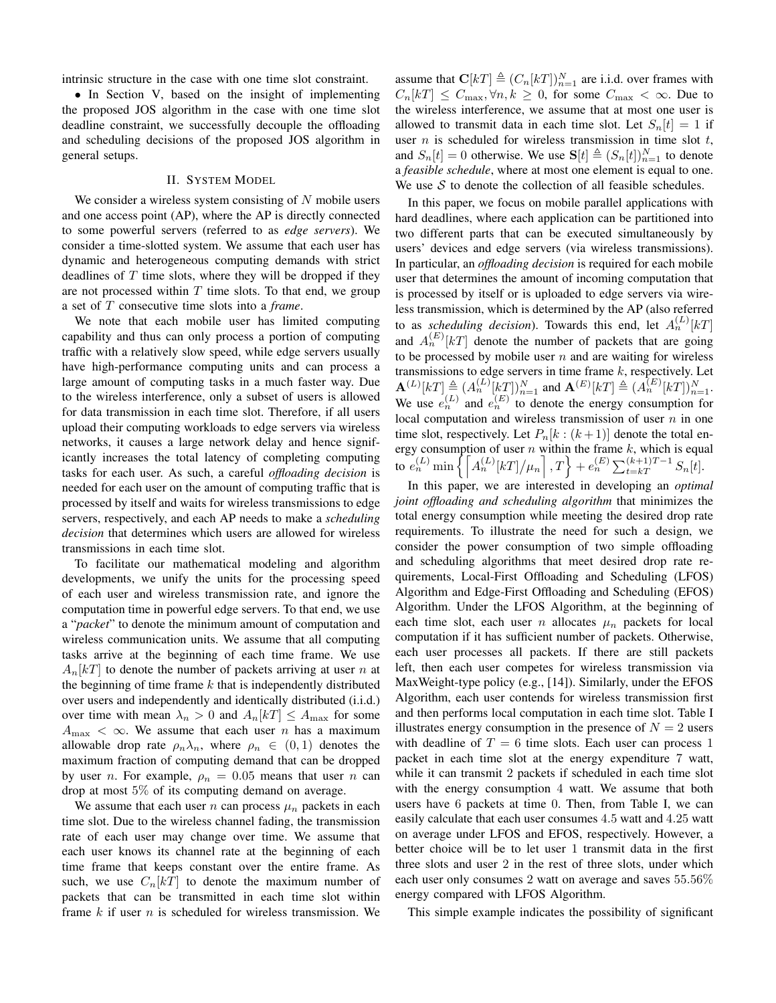intrinsic structure in the case with one time slot constraint.

• In Section V, based on the insight of implementing the proposed JOS algorithm in the case with one time slot deadline constraint, we successfully decouple the offloading and scheduling decisions of the proposed JOS algorithm in general setups.

## II. SYSTEM MODEL

We consider a wireless system consisting of  $N$  mobile users and one access point (AP), where the AP is directly connected to some powerful servers (referred to as *edge servers*). We consider a time-slotted system. We assume that each user has dynamic and heterogeneous computing demands with strict deadlines of  $T$  time slots, where they will be dropped if they are not processed within  $T$  time slots. To that end, we group a set of T consecutive time slots into a *frame*.

We note that each mobile user has limited computing capability and thus can only process a portion of computing traffic with a relatively slow speed, while edge servers usually have high-performance computing units and can process a large amount of computing tasks in a much faster way. Due to the wireless interference, only a subset of users is allowed for data transmission in each time slot. Therefore, if all users upload their computing workloads to edge servers via wireless networks, it causes a large network delay and hence significantly increases the total latency of completing computing tasks for each user. As such, a careful *offloading decision* is needed for each user on the amount of computing traffic that is processed by itself and waits for wireless transmissions to edge servers, respectively, and each AP needs to make a *scheduling decision* that determines which users are allowed for wireless transmissions in each time slot.

To facilitate our mathematical modeling and algorithm developments, we unify the units for the processing speed of each user and wireless transmission rate, and ignore the computation time in powerful edge servers. To that end, we use a "*packet*" to denote the minimum amount of computation and wireless communication units. We assume that all computing tasks arrive at the beginning of each time frame. We use  $A_n[k]$  to denote the number of packets arriving at user n at the beginning of time frame  $k$  that is independently distributed over users and independently and identically distributed (i.i.d.) over time with mean  $\lambda_n > 0$  and  $A_n[k] \leq A_{\text{max}}$  for some  $A_{\text{max}} < \infty$ . We assume that each user n has a maximum allowable drop rate  $\rho_n \lambda_n$ , where  $\rho_n \in (0,1)$  denotes the maximum fraction of computing demand that can be dropped by user *n*. For example,  $\rho_n = 0.05$  means that user *n* can drop at most 5% of its computing demand on average.

We assume that each user n can process  $\mu_n$  packets in each time slot. Due to the wireless channel fading, the transmission rate of each user may change over time. We assume that each user knows its channel rate at the beginning of each time frame that keeps constant over the entire frame. As such, we use  $C_n[kT]$  to denote the maximum number of packets that can be transmitted in each time slot within frame  $k$  if user  $n$  is scheduled for wireless transmission. We

assume that  $\mathbf{C}[k] \triangleq (C_n[k])_{n=1}^N$  are i.i.d. over frames with  $C_n[kT] \leq C_{\text{max}}$ ,  $\forall n, k \geq 0$ , for some  $C_{\text{max}} < \infty$ . Due to the wireless interference, we assume that at most one user is allowed to transmit data in each time slot. Let  $S_n[t] = 1$  if user  $n$  is scheduled for wireless transmission in time slot  $t$ , and  $S_n[t] = 0$  otherwise. We use  $S[t] \triangleq (S_n[t])_{n=1}^N$  to denote a *feasible schedule*, where at most one element is equal to one. We use  $S$  to denote the collection of all feasible schedules.

In this paper, we focus on mobile parallel applications with hard deadlines, where each application can be partitioned into two different parts that can be executed simultaneously by users' devices and edge servers (via wireless transmissions). In particular, an *offloading decision* is required for each mobile user that determines the amount of incoming computation that is processed by itself or is uploaded to edge servers via wireless transmission, which is determined by the AP (also referred to as *scheduling decision*). Towards this end, let  $A_n^{(L)}[k]$ and  $A_n^{(E)}[k]$  denote the number of packets that are going to be processed by mobile user  $n$  and are waiting for wireless transmissions to edge servers in time frame  $k$ , respectively. Let  $\mathbf{A}^{(L)}[k] \triangleq (A_n^{(L)}[k])_{n=1}^N$  and  $\mathbf{A}^{(E)}[k] \triangleq (A_n^{(E)}[k])_{n=1}^N$ . We use  $e_n^{(L)}$  and  $e_n^{(E)}$  to denote the energy consumption for local computation and wireless transmission of user  $n$  in one time slot, respectively. Let  $P_n[k:(k+1)]$  denote the total energy consumption of user  $n$  within the frame  $k$ , which is equal to  $e_n^{(L)}$  min  $\left\{ \left[ A_n^{(L)}[k] \right] / \mu_n \right]$  ,  $T \right\} + e_n^{(E)} \sum_{t=kT}^{(k+1)T-1} S_n[t]$ .

In this paper, we are interested in developing an *optimal joint offloading and scheduling algorithm* that minimizes the total energy consumption while meeting the desired drop rate requirements. To illustrate the need for such a design, we consider the power consumption of two simple offloading and scheduling algorithms that meet desired drop rate requirements, Local-First Offloading and Scheduling (LFOS) Algorithm and Edge-First Offloading and Scheduling (EFOS) Algorithm. Under the LFOS Algorithm, at the beginning of each time slot, each user n allocates  $\mu_n$  packets for local computation if it has sufficient number of packets. Otherwise, each user processes all packets. If there are still packets left, then each user competes for wireless transmission via MaxWeight-type policy (e.g., [14]). Similarly, under the EFOS Algorithm, each user contends for wireless transmission first and then performs local computation in each time slot. Table I illustrates energy consumption in the presence of  $N = 2$  users with deadline of  $T = 6$  time slots. Each user can process 1 packet in each time slot at the energy expenditure 7 watt, while it can transmit 2 packets if scheduled in each time slot with the energy consumption 4 watt. We assume that both users have 6 packets at time 0. Then, from Table I, we can easily calculate that each user consumes 4.5 watt and 4.25 watt on average under LFOS and EFOS, respectively. However, a better choice will be to let user 1 transmit data in the first three slots and user 2 in the rest of three slots, under which each user only consumes 2 watt on average and saves 55.56% energy compared with LFOS Algorithm.

This simple example indicates the possibility of significant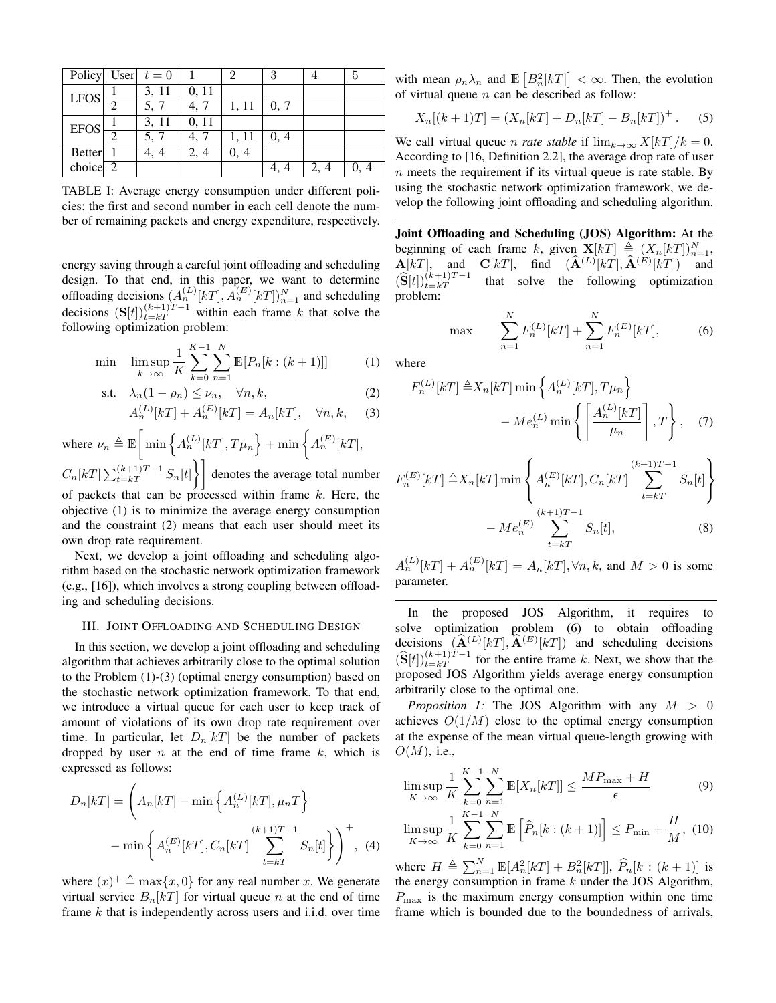|               |   | Policy User $t = 0$ |       | 2     | 3    |      | 5    |
|---------------|---|---------------------|-------|-------|------|------|------|
| <b>LFOS</b>   |   | 3, 11               | 0, 11 |       |      |      |      |
|               |   | 5, 7                | 4, 7  | 1, 11 | 0, 7 |      |      |
| EFOS          |   | 3, 11               | 0, 11 |       |      |      |      |
|               | റ | 5, 7                | 4, 7  | 1, 11 | 0, 4 |      |      |
| <b>Better</b> |   | 4, 4                | 2, 4  | 0, 4  |      |      |      |
| choice $2$    |   |                     |       |       | 4, 4 | 2, 4 | 0, 4 |

TABLE I: Average energy consumption under different policies: the first and second number in each cell denote the number of remaining packets and energy expenditure, respectively.

energy saving through a careful joint offloading and scheduling design. To that end, in this paper, we want to determine offloading decisions  $(A_n^{(L)}[k]$ ,  $A_n^{(E)}[k]$ ,  $A_{n=1}^{N}$  and scheduling decisions  $(S[t])_{t=kT}^{(k+1)T-1}$  within each frame k that solve the following optimization problem:

$$
\min \quad \limsup_{k \to \infty} \frac{1}{K} \sum_{k=0}^{K-1} \sum_{n=1}^{N} \mathbb{E}[P_n[k:(k+1)]] \tag{1}
$$

$$
\text{s.t.} \quad \lambda_n (1 - \rho_n) \le \nu_n, \quad \forall n, k,
$$

$$
A_n^{(L)}[k] + A_n^{(E)}[k] = A_n[k], \quad \forall n, k, \quad (3)
$$

where  $\nu_n \triangleq \mathbb{E} \left[ \min \left\{ A_n^{(L)}[k] \cdot T \mu_n \right\} + \min \left\{ A_n^{(E)}[k] \right\}, \right]$  $C_n[kT] \sum_{t=kT}^{(k+1)T-1} S_n[t]$  denotes the average total number of packets that can be processed within frame  $k$ . Here, the objective (1) is to minimize the average energy consumption and the constraint (2) means that each user should meet its own drop rate requirement.

Next, we develop a joint offloading and scheduling algorithm based on the stochastic network optimization framework (e.g., [16]), which involves a strong coupling between offloading and scheduling decisions.

### III. JOINT OFFLOADING AND SCHEDULING DESIGN

In this section, we develop a joint offloading and scheduling algorithm that achieves arbitrarily close to the optimal solution to the Problem (1)-(3) (optimal energy consumption) based on the stochastic network optimization framework. To that end, we introduce a virtual queue for each user to keep track of amount of violations of its own drop rate requirement over time. In particular, let  $D_n[kT]$  be the number of packets dropped by user  $n$  at the end of time frame  $k$ , which is expressed as follows:

$$
D_n[kT] = \left(A_n[kT] - \min\left\{A_n^{(L)}[kT], \mu_n T\right\}\right)
$$

$$
-\min\left\{A_n^{(E)}[kT], C_n[kT] \sum_{t=kT}^{(k+1)T-1} S_n[t]\right\}\right)^+, (4)
$$

where  $(x)^+ \triangleq \max\{x, 0\}$  for any real number x. We generate virtual service  $B_n[kT]$  for virtual queue n at the end of time frame  $k$  that is independently across users and i.i.d. over time with mean  $\rho_n \lambda_n$  and  $\mathbb{E}\left[B_n^2[kT]\right] < \infty$ . Then, the evolution of virtual queue  $n$  can be described as follow:

$$
X_n[(k+1)T] = (X_n[kT] + D_n[kT] - B_n[kT])^{+}.
$$
 (5)

We call virtual queue *n rate stable* if  $\lim_{k\to\infty} X[k] / k = 0$ . According to [16, Definition 2.2], the average drop rate of user  $n$  meets the requirement if its virtual queue is rate stable. By using the stochastic network optimization framework, we develop the following joint offloading and scheduling algorithm.

Joint Offloading and Scheduling (JOS) Algorithm: At the beginning of each frame k, given  $\mathbf{X}[k] \triangleq (X_n[k])_{n=1}^N$ ,  $\mathbf{A}[k]$ , and  $\mathbf{C}[k]$ , find  $(\mathbf{A}^{(L)}[k])$ ,  $\mathbf{A}^{(E)}[k]$  and  $(\widehat{\mathbf{S}}[t])_{t=kT}^{(\kappa+\frac{1}{2})}$  $\int_{t=kT}^{(k+1)T-1}$  that solve the following optimization problem:

max 
$$
\sum_{n=1}^{N} F_n^{(L)}[k] + \sum_{n=1}^{N} F_n^{(E)}[k],
$$
 (6)

where

$$
F_n^{(L)}[k] \triangleq X_n[k] \min \left\{ A_n^{(L)}[k] \mathcal{F}_n \right\}
$$

$$
- Me_n^{(L)} \min \left\{ \left[ \frac{A_n^{(L)}[k] \right]}{\mu_n} \right\}, \quad (7)
$$

$$
F_n^{(E)}[k] \triangleq X_n[k] \min \left\{ A_n^{(E)}[k] \sum_{t=k}^{(k+1)T-1} S_n[t] \right\}
$$

$$
- M e_n^{(E)} \sum_{t=k}^{(k+1)T-1} S_n[t], \tag{8}
$$

 $A_n^{(L)}[k] + A_n^{(E)}[k] = A_n[k], \forall n, k$ , and  $M > 0$  is some parameter.

In the proposed JOS Algorithm, it requires to solve optimization problem (6) to obtain offloading decisions  $(\widehat{\mathbf{A}}^{(L)}[k]$ ,  $\widehat{\mathbf{A}}^{(E)}[k]$  and scheduling decisions  $(\widehat{\mathbf{S}}[t])_{t=kT}^{(k+1)T-1}$  for the entire frame k. Next, we show that the proposed JOS Algorithm yields average energy consumption arbitrarily close to the optimal one.

*Proposition 1:* The JOS Algorithm with any  $M > 0$ achieves  $O(1/M)$  close to the optimal energy consumption at the expense of the mean virtual queue-length growing with  $O(M)$ , i.e.,

$$
\limsup_{K \to \infty} \frac{1}{K} \sum_{k=0}^{K-1} \sum_{n=1}^{N} \mathbb{E}[X_n[kT]] \le \frac{MP_{\text{max}} + H}{\epsilon}
$$
(9)  

$$
\limsup_{K \to \infty} \frac{1}{K} \sum_{k=0}^{K-1} \sum_{n=1}^{N} \mathbb{E}\left[\widehat{P}_n[k:(k+1)]\right] \le P_{\text{min}} + \frac{H}{M},
$$
(10)

where  $H \triangleq \sum_{n=1}^{N} \mathbb{E}[A_n^2[kT] + B_n^2[kT]], \widehat{P}_n[k : (k+1)]$  is the energy consumption in frame  $k$  under the JOS Algorithm,  $P_{\text{max}}$  is the maximum energy consumption within one time frame which is bounded due to the boundedness of arrivals,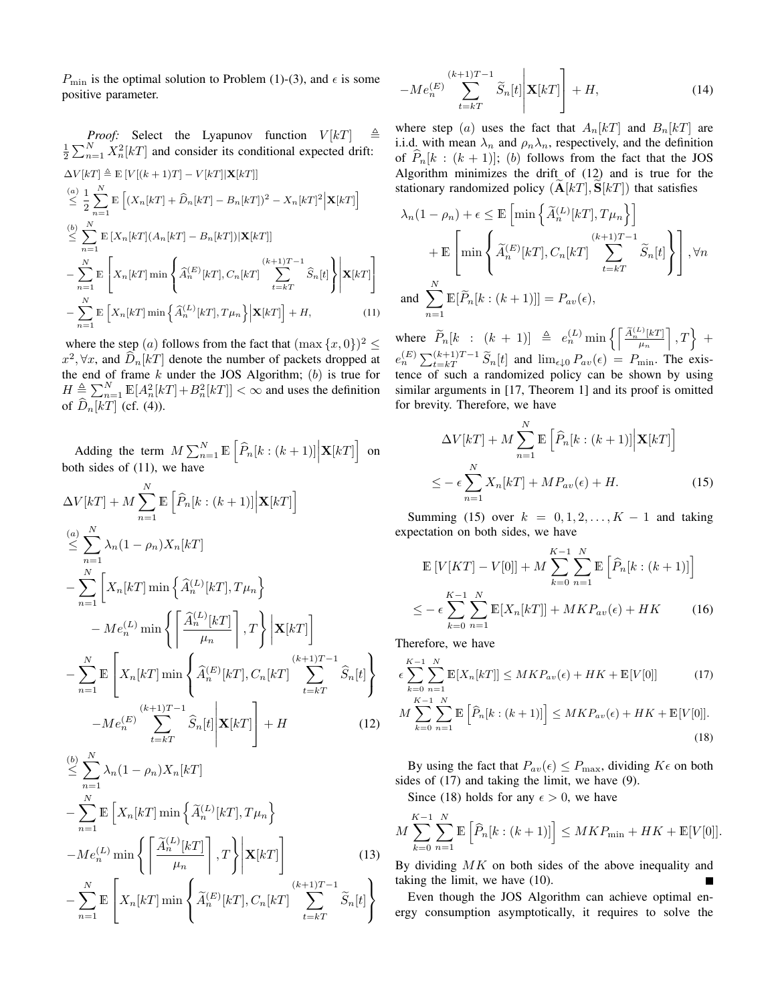$P_{\text{min}}$  is the optimal solution to Problem (1)-(3), and  $\epsilon$  is some positive parameter.

*Proof:* Select the Lyapunov function  $V[k]$   $\triangleq$  $\frac{1}{2} \sum_{n=1}^{N} X_n^2[kT]$  and consider its conditional expected drift:  $\Delta V[kT] \triangleq \mathbb{E} [V[(k+1)T] - V[kT]|\mathbf{X}[kT]]$  $\overset{(a)}{\leq} \frac{1}{2}$  $\frac{1}{2}\sum_{n=1}^N$  $n=1$  $\mathbb{E}\left[\left(X_n[kT] + \widehat{D}_n[kT] - B_n[kT]\right)^2 - X_n[kT]^2 \Big| \mathbf{X}[kT]\right]$  $\overset{(b)}{\leq} \sum_{n=1}^{N}$  $n=1$  $\mathbb{E}\left[X_n[kT](A_n[kT]-B_n[kT])|\mathbf{X}[kT]\right]$  $-\sum_{i=1}^{N}$  $n=1$ E  $\sqrt{ }$  $X_n[kT]$  min  $\int$  $\left\{\begin{matrix} \widehat{A}_n^{(E)}[k] \end{matrix}\right.$  $\sum_{k=1}^{(k+1)}$  $\sum_{t=kT}$   $S_n[t]$  $\mathcal{L}$ J  $\mathbf{X}[kT]$ 1  $\mathbf{I}$  $-\sum_{i=1}^{N}$  $n=1$  $\mathbb{E}\left[X_n[kT] \min\left\{\widehat{A}_n^{(L)}[kT], T\mu_n\right\}\Big|\mathbf{X}[kT]\right] + H,$  (11)

where the step (*a*) follows from the fact that  $(\max\{x,0\})^2 \le$  $x^2, \forall x$ , and  $\hat{D}_n[kT]$  denote the number of packets dropped at the end of frame  $k$  under the JOS Algorithm;  $(b)$  is true for  $H \triangleq \sum_{n=1}^{N} \mathbb{E}[A_n^2[kT]+B_n^2[kT]] < \infty$  and uses the definition of  $\widehat{D}_n[kT]$  (cf. (4)).

Adding the term  $M \sum_{n=1}^{N} \mathbb{E} \left[ \widehat{P}_n[k:(k+1)] \Big| \mathbf{X}[k] \right]$  on both sides of (11), we have

$$
\Delta V[kT] + M \sum_{n=1}^{N} \mathbb{E} \left[ \hat{P}_n[k:(k+1)] \Big| \mathbf{X}[kT] \right]
$$
\n
$$
\leq \sum_{n=1}^{N} \lambda_n (1 - \rho_n) X_n[kT]
$$
\n
$$
- \sum_{n=1}^{N} \left[ X_n[kT] \min \left\{ \hat{A}_n^{(L)}[kT], T \mu_n \right\} - M e_n^{(L)} \min \left\{ \left[ \frac{\hat{A}_n^{(L)}[kT]}{\mu_n} \right], T \right\} \Big| \mathbf{X}[kT] \right]
$$
\n
$$
- \sum_{n=1}^{N} \mathbb{E} \left[ X_n[kT] \min \left\{ \hat{A}_n^{(E)}[kT], C_n[kT] \sum_{t=kT}^{(k+1)T-1} \hat{S}_n[t] \right\} - M e_n^{(E)} \sum_{t=kT}^{(k+1)T-1} \hat{S}_n[t] \Big| \mathbf{X}[kT] \right] + H \qquad (12)
$$
\n
$$
\leq \sum_{n=1}^{N} \lambda_n (1 - \rho_n) X_n[kT]
$$

$$
-\sum_{n=1}^{N} \mathbb{E}\left[X_{n}[k] \min\left\{\widetilde{A}_{n}^{(L)}[k] \mathcal{F}\right], T\mu_{n}\right\}
$$

$$
-Me_{n}^{(L)} \min\left\{\left[\frac{\widetilde{A}_{n}^{(L)}[k] \right], T\right\} \Big| \mathbf{X}[k]\right\}
$$
(13)
$$
-\sum_{n=1}^{N} \mathbb{E}\left[X_{n}[k] \min\left\{\widetilde{A}_{n}^{(L)}[k] \right\} \widetilde{A}^{(E)}[k] \mathcal{F} \right] \left(C_{n}[k] \right\}^{(k+1)T-1} \widetilde{S}_{n}[k]
$$

$$
-\sum_{n=1}^{N} \mathbb{E}\left[X_n[kT] \min\left\{\widetilde{A}_n^{(E)}[kT], C_n[kT]\right\} \sum_{t=kT}^{N} \widetilde{S}_n[t]\right\}
$$

$$
-Me_n^{(E)}\sum_{t=kT}^{(k+1)T-1}\widetilde{S}_n[t]\mathbf{X}[kT]\Bigg] + H,\tag{14}
$$

where step (a) uses the fact that  $A_n[kT]$  and  $B_n[kT]$  are i.i.d. with mean  $\lambda_n$  and  $\rho_n \lambda_n$ , respectively, and the definition of  $P_n[k : (k + 1)]; (b)$  follows from the fact that the JOS Algorithm minimizes the drift of (12) and is true for the stationary randomized policy  $(A[kT], S[kT])$  that satisfies

$$
\lambda_n(1 - \rho_n) + \epsilon \le \mathbb{E}\left[\min\left\{\widetilde{A}_n^{(L)}[k] \mathcal{F}\right], T\mu_n\right\}\right] + \mathbb{E}\left[\min\left\{\widetilde{A}_n^{(E)}[k] \mathcal{F}\right], C_n[k] \sum_{t=k}^{(k+1)T-1} \widetilde{S}_n[t]\right\}, \forall n
$$
  
and 
$$
\sum_{n=1}^N \mathbb{E}[\widetilde{P}_n[kk: (k+1)]] = P_{av}(\epsilon),
$$

where  $\widetilde{P}_n[k : (k+1)] \triangleq e_n^{(L)} \min \left\{ \left[ \frac{\widetilde{A}_n^{(L)}[k]}{\mu_n} \right], T \right\} +$  $e_n^{(E)} \sum_{t=kT}^{(k+1)T-1} \widetilde{S}_n[t]$  and  $\lim_{\epsilon \downarrow 0} P_{av}(\epsilon) = P_{\min}$ . The existence of such a randomized policy can be shown by using similar arguments in [17, Theorem 1] and its proof is omitted for brevity. Therefore, we have

$$
\Delta V[kT] + M \sum_{n=1}^{N} \mathbb{E}\left[\hat{P}_n[k:(k+1)] \Big| \mathbf{X}[kT]\right]
$$
  

$$
\leq -\epsilon \sum_{n=1}^{N} X_n[kT] + M P_{av}(\epsilon) + H.
$$
 (15)

Summing (15) over  $k = 0, 1, 2, \ldots, K - 1$  and taking expectation on both sides, we have

$$
\mathbb{E}\left[V[KT] - V[0]\right] + M \sum_{k=0}^{K-1} \sum_{n=1}^{N} \mathbb{E}\left[\hat{P}_n[k:(k+1)]\right]
$$
  

$$
\leq -\epsilon \sum_{k=0}^{K-1} \sum_{n=1}^{N} \mathbb{E}[X_n[kT]] + MKP_{av}(\epsilon) + HK \qquad (16)
$$

Therefore, we have

$$
\epsilon \sum_{k=0}^{K-1} \sum_{n=1}^{N} \mathbb{E}[X_n[kT]] \le MKP_{av}(\epsilon) + HK + \mathbb{E}[V[0]] \tag{17}
$$

$$
M\sum_{k=0}^{K-1}\sum_{n=1}^{N}\mathbb{E}\left[\widehat{P}_n[k:(k+1)]\right] \leq MKP_{av}(\epsilon) + HK + \mathbb{E}[V[0]].
$$
\n(18)

By using the fact that  $P_{av}(\epsilon) \le P_{\text{max}}$ , dividing  $K\epsilon$  on both sides of (17) and taking the limit, we have (9).

Since (18) holds for any  $\epsilon > 0$ , we have

$$
M\sum_{k=0}^{K-1} \sum_{n=1}^{N} \mathbb{E}\left[\widehat{P}_n[k:(k+1)]\right] \leq MKP_{\min} + HK + \mathbb{E}[V[0]].
$$

By dividing  $MK$  on both sides of the above inequality and taking the limit, we have (10).

Even though the JOS Algorithm can achieve optimal energy consumption asymptotically, it requires to solve the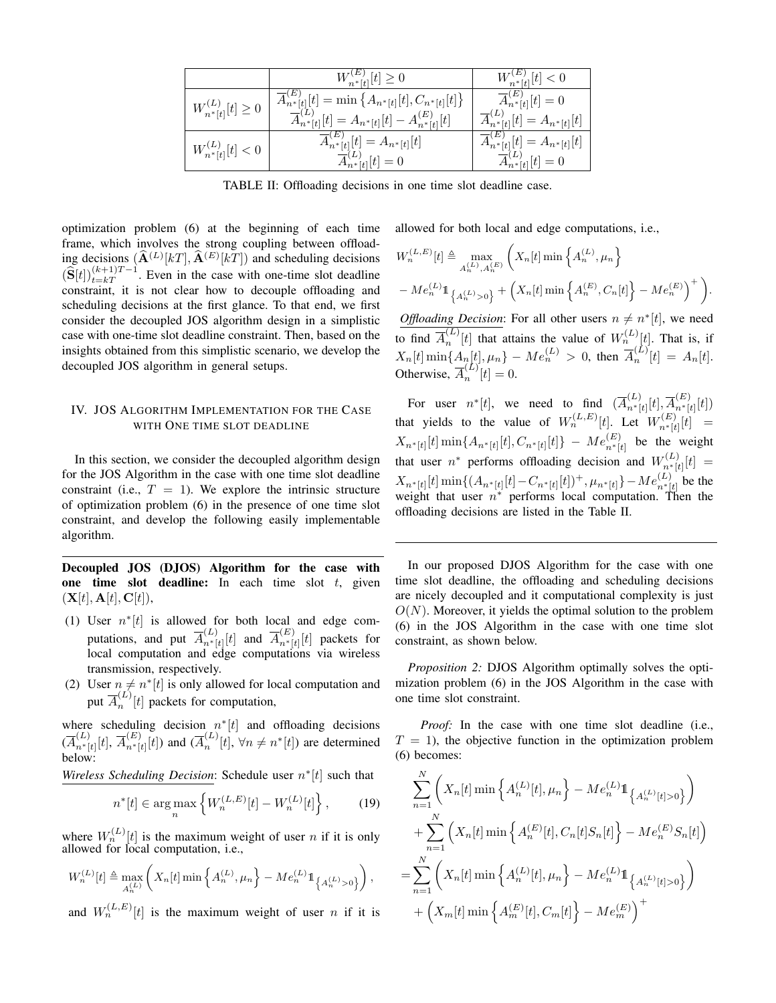|                              | $W_{n^*[t]}^{(E)}[t] \geq 0$                                                                                                                                    | $W_{n*[t]}^{(E)}[t] < 0$                                                                 |
|------------------------------|-----------------------------------------------------------------------------------------------------------------------------------------------------------------|------------------------------------------------------------------------------------------|
| $W_{n^*[t]}^{(L)}[t] \geq 0$ | $\overline{A}_{n^*[t]}^{(E)}[t] = \min \left\{ A_{n^*[t]}[t], C_{n^*[t]}[t] \right\}$<br>$\overline{A}_{n^*[t]}^{(L)}[t] = A_{n^*[t]}[t] - A_{n^*[t]}^{(E)}[t]$ | $\overline{A}_{n^*[t]}^{(E)}[t] = 0$<br>$\overline{A}_{n^*[t]}^{(L)}[t] = A_{n^*[t]}[t]$ |
| $W_{n^*[t]}^{(L)}[t] < 0$    | $\overline{A}_{n^*[t]}^{(E)}[t] = A_{n^*[t]}[t]$<br>$\overline{A}_{n^*[t]}^{(L)}[t] = 0$                                                                        | $\overline{A}_{n^*[t]}^{(E)}[t] = A_{n^*[t]}[t]$<br>$\overline{A}_{n^*[t]}^{(L)}[t] = 0$ |

TABLE II: Offloading decisions in one time slot deadline case.

optimization problem (6) at the beginning of each time frame, which involves the strong coupling between offloading decisions  $(\widehat{\mathbf{A}}^{(L)}[k]$ ,  $\widehat{\mathbf{A}}^{(E)}[k]$  and scheduling decisions  $(\widehat{\mathbf{S}}[t])_{t=kT}^{(k+1)T-1}$ . Even in the case with one-time slot deadline constraint, it is not clear how to decouple offloading and scheduling decisions at the first glance. To that end, we first consider the decoupled JOS algorithm design in a simplistic case with one-time slot deadline constraint. Then, based on the insights obtained from this simplistic scenario, we develop the decoupled JOS algorithm in general setups.

## IV. JOS ALGORITHM IMPLEMENTATION FOR THE CASE WITH ONE TIME SLOT DEADLINE

In this section, we consider the decoupled algorithm design for the JOS Algorithm in the case with one time slot deadline constraint (i.e.,  $T = 1$ ). We explore the intrinsic structure of optimization problem (6) in the presence of one time slot constraint, and develop the following easily implementable algorithm.

Decoupled JOS (DJOS) Algorithm for the case with one time slot deadline: In each time slot  $t$ , given  $(X[t], A[t], C[t]),$ 

- (1) User  $n^*[t]$  is allowed for both local and edge computations, and put  $\overline{A}_{n+1}^{(L)}$  $\overline{n}^{(L)}_{n^*[t]}[t]$  and  $\overline{A}^{(E)}_{n^*[t]}$  $\binom{L}{n^*}[t]$  packets for local computation and edge computations via wireless transmission, respectively.
- (2) User  $n \neq n^*[t]$  is only allowed for local computation and put  $\overline{A}_n^{(L)}$  $\binom{n}{n}[t]$  packets for computation,

where scheduling decision  $n^*[t]$  and offloading decisions  $(\overline{A}_{n^*}^{(L)}$  $_{n^{*}[t]}^{(L)}[t],\,\overline{A}_{n^{*}[t]}^{(E)}$  $_{n^*[t]}^{(E)}[t]$ ) and  $(\overline{A}_n^{(L)})$  $\binom{L}{n}[t], \forall n \neq n^*[t]$  are determined below:

*Wireless Scheduling Decision*: Schedule user  $n^*[t]$  such that

$$
n^*[t] \in \arg\max_n \left\{ W_n^{(L,E)}[t] - W_n^{(L)}[t] \right\},\qquad(19)
$$

where  $W_n^{(L)}[t]$  is the maximum weight of user *n* if it is only allowed for local computation, i.e.,

$$
W_n^{(L)}[t] \triangleq \max_{A_n^{(L)}} \left( X_n[t] \min \left\{ A_n^{(L)}, \mu_n \right\} - Me_n^{(L)} 1\!\!1_{\left\{ A_n^{(L)} > 0 \right\}} \right),
$$

and  $W_n^{(L,E)}[t]$  is the maximum weight of user *n* if it is

allowed for both local and edge computations, i.e.,

$$
W_n^{(L,E)}[t] \triangleq \max_{A_n^{(L)}, A_n^{(E)}} \left( X_n[t] \min \left\{ A_n^{(L)}, \mu_n \right\} \right. \\ - M e_n^{(L)} \mathbb{1}_{\left\{ A_n^{(L)} > 0 \right\}} + \left( X_n[t] \min \left\{ A_n^{(E)}, C_n[t] \right\} - M e_n^{(E)} \right)^+ \right).
$$

*Offloading Decision*: For all other users  $n \neq n^*[t]$ , we need to find  $\overline{A}_n^{(L)}$  $\binom{L}{n}[t]$  that attains the value of  $W_n^{(L)}[t]$ . That is, if  $X_n[t] \min\{A_n[t], \mu_n\} - Me_n^{(L)} > 0$ , then  $\overline{A}_n^{(L)}$  $\binom{n}{n}[t] = A_n[t].$ Otherwise,  $\overline{A}_n^{(L)}$  $n^{\left( \nu\right) }[t]=0.$ 

For user  $n^*[t]$ , we need to find  $(\overline{A}_{n^*}^{(L)})$  $_{n^{*}[t]}^{(L)}[t],\overline{A}_{n^{*}[t]}^{(E)}$  $\binom{L}{n^*[t]}[t]$ that yields to the value of  $W_n^{(L,E)}[t]$ . Let  $W_{n+1}^{(E)}$  $\binom{L}{n^*|t|}[t] =$  $X_{n^*[t]}[t] \min\{A_{n^*[t]}[t], C_{n^*[t]}[t]\} - Me^{(E)}_{n^*[t]}$  be the weight that user  $n^*$  performs offloading decision and  $W_{n+i}^{(L)}$  $\binom{L}{n^*|t|}[t] =$  $X_{n^*[t]}[t] \min\{(A_{n^*[t]}[t] - C_{n^*[t]}[t])^+, \mu_{n^*[t]}\} - Me_{n^*[t]}^{(L)}$  be the weight that user  $n^*$  performs local computation. Then the offloading decisions are listed in the Table II.

In our proposed DJOS Algorithm for the case with one time slot deadline, the offloading and scheduling decisions are nicely decoupled and it computational complexity is just  $O(N)$ . Moreover, it yields the optimal solution to the problem (6) in the JOS Algorithm in the case with one time slot constraint, as shown below.

*Proposition 2:* DJOS Algorithm optimally solves the optimization problem (6) in the JOS Algorithm in the case with one time slot constraint.

*Proof:* In the case with one time slot deadline (i.e.,  $T = 1$ , the objective function in the optimization problem (6) becomes:

$$
\sum_{n=1}^{N} \left( X_n[t] \min \left\{ A_n^{(L)}[t], \mu_n \right\} - Me_n^{(L)} \mathbb{1}_{\left\{ A_n^{(L)}[t] > 0 \right\}} \right)
$$
  
+ 
$$
\sum_{n=1}^{N} \left( X_n[t] \min \left\{ A_n^{(E)}[t], C_n[t] S_n[t] \right\} - Me_n^{(E)} S_n[t] \right)
$$
  
= 
$$
\sum_{n=1}^{N} \left( X_n[t] \min \left\{ A_n^{(L)}[t], \mu_n \right\} - Me_n^{(L)} \mathbb{1}_{\left\{ A_n^{(L)}[t] > 0 \right\}} \right)
$$
  
+ 
$$
\left( X_m[t] \min \left\{ A_m^{(E)}[t], C_m[t] \right\} - Me_m^{(E)} \right)^+
$$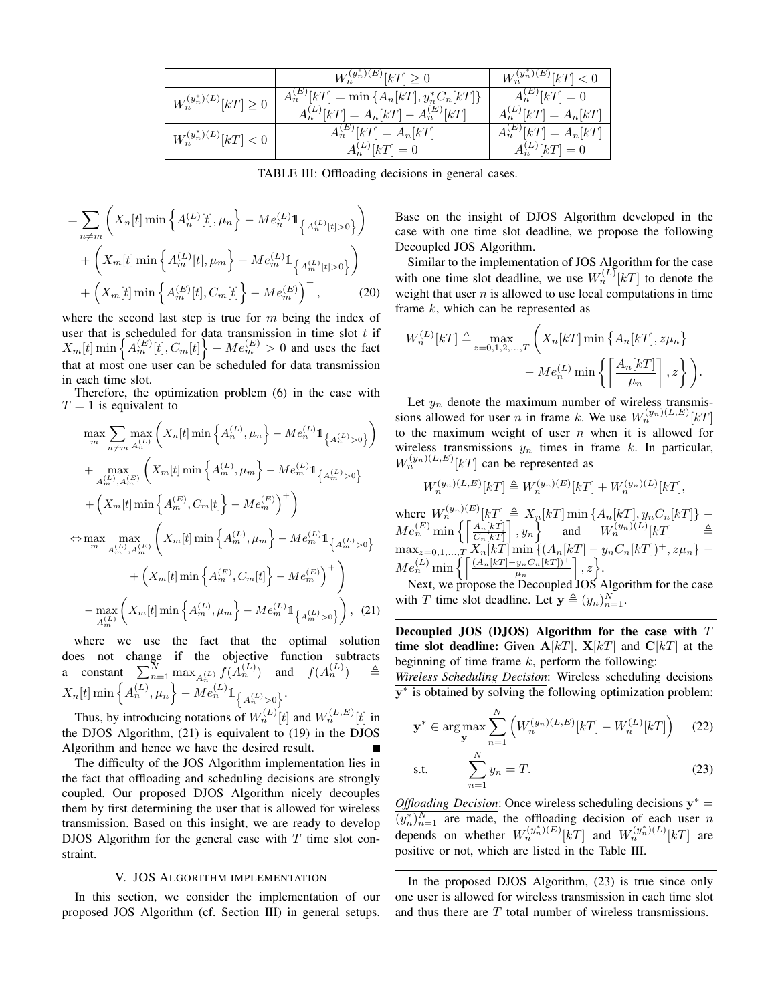|                              | $W_n^{(y_n^*)(E)}[k] \geq 0$                                                            | $W_n^{(y_n^*)(E)}[k] < 0$                        |
|------------------------------|-----------------------------------------------------------------------------------------|--------------------------------------------------|
| $W_n^{(y_n^*)(L)}[k] \geq 0$ | $A_n^{(E)}[k] = \min\{A_n[k], y_n^*C_n[k]\}\$<br>$A_n^{(L)}[k] = A_n[k] - A_n^{(E)}[k]$ | $A_n^{(E)}[kT] = 0$<br>$A_n^{(L)}[k] = A_n[k]$   |
| $W_n^{(y_n^*)(L)}[k] < 0$    | $A_n^{(E)}[kT] = A_n[kT]$<br>$A_n^{(L)}[kT] = 0$                                        | $A_n^{(E)}[kT] = A_n[kT]$<br>$A_n^{(L)}[kT] = 0$ |

TABLE III: Offloading decisions in general cases.

$$
= \sum_{n \neq m} \left( X_n[t] \min \left\{ A_n^{(L)}[t], \mu_n \right\} - Me_n^{(L)} \mathbb{1}_{\left\{ A_n^{(L)}[t] > 0 \right\}} \right) + \left( X_m[t] \min \left\{ A_m^{(L)}[t], \mu_m \right\} - Me_m^{(L)} \mathbb{1}_{\left\{ A_m^{(L)}[t] > 0 \right\}} \right) + \left( X_m[t] \min \left\{ A_m^{(E)}[t], C_m[t] \right\} - Me_m^{(E)} \right)^+,
$$
(20)

where the second last step is true for  $m$  being the index of user that is scheduled for data transmission in time slot  $t$  if  $X_m[t] \min \left\{ A_m^{(E)}[t], C_m[t] \right\} - Me_m^{(E)} > 0$  and uses the fact that at most one user can be scheduled for data transmission in each time slot.

Therefore, the optimization problem (6) in the case with  $T = 1$  is equivalent to

$$
\max_{m} \sum_{n \neq m} \max_{A_n^{(L)}} \left( X_n[t] \min \left\{ A_n^{(L)}, \mu_n \right\} - Me_n^{(L)} \mathbb{1}_{\left\{ A_n^{(L)} > 0 \right\}} \right)
$$
  
+ 
$$
\max_{A_m^{(L)}, A_m^{(E)}} \left( X_m[t] \min \left\{ A_m^{(L)}, \mu_m \right\} - Me_m^{(L)} \mathbb{1}_{\left\{ A_m^{(L)} > 0 \right\}}
$$
  
+ 
$$
\left( X_m[t] \min \left\{ A_m^{(E)}, C_m[t] \right\} - Me_m^{(E)} \right)^+ \right)
$$
  

$$
\Leftrightarrow \max_{m} \max_{A_m^{(L)}, A_m^{(E)}} \left( X_m[t] \min \left\{ A_m^{(L)}, \mu_m \right\} - Me_m^{(L)} \mathbb{1}_{\left\{ A_m^{(L)} > 0 \right\}}
$$
  
+ 
$$
\left( X_m[t] \min \left\{ A_m^{(E)}, C_m[t] \right\} - Me_m^{(E)} \right)^+ \right)
$$
  
- 
$$
\max_{A_m^{(L)}} \left( X_m[t] \min \left\{ A_m^{(L)}, \mu_m \right\} - Me_m^{(L)} \mathbb{1}_{\left\{ A_m^{(L)} > 0 \right\}} \right), (21)
$$

where we use the fact that the optimal solution does not change if the objective function subtracts a constant  $\sum_{n=1}^{N} \max_{A_n^{(L)}} f(A_n^{(L)})$  and  $f(A_n^{(L)})$   $\triangleq$  $X_n[t] \min\left\{A_n^{(L)}, \mu_n\right\} - M e_n^{(L)} 1\!\!1_{\left\{A_n^{(L)} > 0\right\}}.$ 

Thus, by introducing notations of  $W_n^{(L)}[t]$  and  $W_n^{(L,E)}[t]$  in the DJOS Algorithm, (21) is equivalent to (19) in the DJOS Algorithm and hence we have the desired result.

The difficulty of the JOS Algorithm implementation lies in the fact that offloading and scheduling decisions are strongly coupled. Our proposed DJOS Algorithm nicely decouples them by first determining the user that is allowed for wireless transmission. Based on this insight, we are ready to develop DJOS Algorithm for the general case with  $T$  time slot constraint.

### V. JOS ALGORITHM IMPLEMENTATION

In this section, we consider the implementation of our proposed JOS Algorithm (cf. Section III) in general setups.

Base on the insight of DJOS Algorithm developed in the case with one time slot deadline, we propose the following Decoupled JOS Algorithm.

Similar to the implementation of JOS Algorithm for the case with one time slot deadline, we use  $W_n^{(L)}[kT]$  to denote the weight that user  $n$  is allowed to use local computations in time frame k, which can be represented as

$$
W_n^{(L)}[k] \triangleq \max_{z=0,1,2,\dots,T} \left( X_n[k] \min \left\{ A_n[k] \right\} z \mu_n \right\}
$$

$$
- M e_n^{(L)} \min \left\{ \left[ \frac{A_n[k]}{\mu_n} \right], z \right\} \right).
$$

Let  $y_n$  denote the maximum number of wireless transmissions allowed for user *n* in frame *k*. We use  $W_n^{(y_n)(L,E)}[k]$ to the maximum weight of user  $n$  when it is allowed for wireless transmissions  $y_n$  times in frame k. In particular,  $W_n^{(y_n)(L,E)}[k]$  can be represented as

$$
\label{eq:Wn} \begin{array}{c} W_n^{(y_n)(L,E)}[kT] \triangleq W_n^{(y_n)(E)}[kT] + W_n^{(y_n)(L)}[kT],\\ \text{where } W_n^{(y_n)(E)}[kT] \triangleq X_n[kT] \min \left\{A_n[kT], y_n C_n[kT]\right\} - M e_n^{(E)} \min \left\{ \left\lceil \frac{A_n[kT]}{C_n[kT]}\right\rceil, y_n \right\} \quad \text{and} \quad W_n^{(y_n)(L)}[kT] \quad \triangleq\\ \max_{z=0,1,\ldots,T} X_n[kT] \min \left\{(A_n[kT] - y_n C_n[kT])^+, z \mu_n \right\} - M e_n^{(L)} \min \left\{ \left\lceil \frac{(A_n[kT] - y_n C_n[kT])^+}{\mu_n} \right\rceil, z \right\}. \end{array}
$$

Next, we propose the Decoupled JOS Algorithm for the case with T time slot deadline. Let  $y \triangleq (y_n)_{n=1}^N$ .

Decoupled JOS (DJOS) Algorithm for the case with  $T$ time slot deadline: Given  $A[kT]$ ,  $X[kT]$  and  $C[kT]$  at the beginning of time frame  $k$ , perform the following:

*Wireless Scheduling Decision*: Wireless scheduling decisions  $\overline{y^*}$  is obtained by solving the following optimization problem:

$$
\mathbf{y}^* \in \arg \max_{\mathbf{y}} \sum_{n=1}^N \left( W_n^{(y_n)(L,E)}[k] - W_n^{(L)}[k] \right) \tag{22}
$$

s.t. 
$$
\sum_{n=1}^{N} y_n = T.
$$
 (23)

*Offloading Decision*: Once wireless scheduling decisions  $y^* =$  $\overline{(y_n^*)_{n=1}^N}$  are made, the offloading decision of each user n depends on whether  $W_n^{(y_n^*)(E)}[k]$  and  $W_n^{(y_n^*)(L)}[k]$  are positive or not, which are listed in the Table III.

In the proposed DJOS Algorithm, (23) is true since only one user is allowed for wireless transmission in each time slot and thus there are  $T$  total number of wireless transmissions.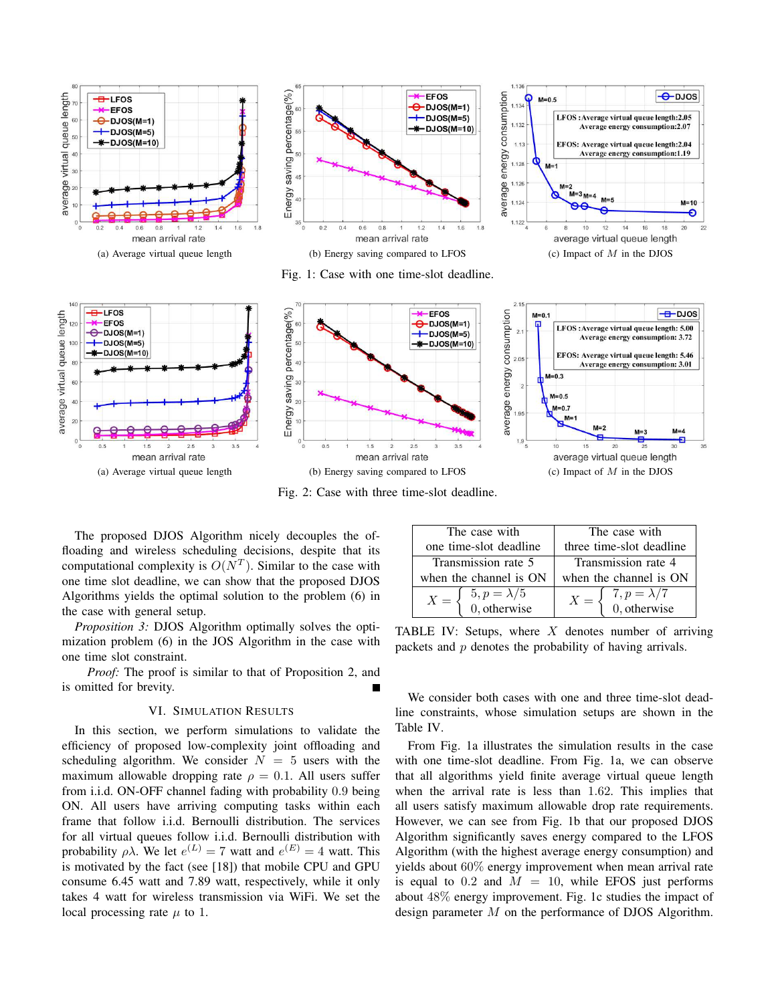

Fig. 2: Case with three time-slot deadline.

The proposed DJOS Algorithm nicely decouples the offloading and wireless scheduling decisions, despite that its computational complexity is  $O(N^T)$ . Similar to the case with one time slot deadline, we can show that the proposed DJOS Algorithms yields the optimal solution to the problem (6) in the case with general setup.

*Proposition 3:* DJOS Algorithm optimally solves the optimization problem (6) in the JOS Algorithm in the case with one time slot constraint.

*Proof:* The proof is similar to that of Proposition 2, and is omitted for brevity.

## VI. SIMULATION RESULTS

In this section, we perform simulations to validate the efficiency of proposed low-complexity joint offloading and scheduling algorithm. We consider  $N = 5$  users with the maximum allowable dropping rate  $\rho = 0.1$ . All users suffer from i.i.d. ON-OFF channel fading with probability 0.9 being ON. All users have arriving computing tasks within each frame that follow i.i.d. Bernoulli distribution. The services for all virtual queues follow i.i.d. Bernoulli distribution with probability  $\rho \lambda$ . We let  $e^{(L)} = 7$  watt and  $e^{(E)} = 4$  watt. This is motivated by the fact (see [18]) that mobile CPU and GPU consume 6.45 watt and 7.89 watt, respectively, while it only takes 4 watt for wireless transmission via WiFi. We set the local processing rate  $\mu$  to 1.

| The case with                                                           | The case with                                                           |  |  |
|-------------------------------------------------------------------------|-------------------------------------------------------------------------|--|--|
| one time-slot deadline                                                  | three time-slot deadline                                                |  |  |
| Transmission rate 5                                                     | Transmission rate 4                                                     |  |  |
| when the channel is ON                                                  | when the channel is ON                                                  |  |  |
| $X = \begin{cases} 5, p = \lambda/5 \\ 0, \text{otherwise} \end{cases}$ | $X = \begin{cases} 7, p = \lambda/7 \\ 0, \text{otherwise} \end{cases}$ |  |  |

TABLE IV: Setups, where  $X$  denotes number of arriving packets and  $p$  denotes the probability of having arrivals.

We consider both cases with one and three time-slot deadline constraints, whose simulation setups are shown in the Table IV.

From Fig. 1a illustrates the simulation results in the case with one time-slot deadline. From Fig. 1a, we can observe that all algorithms yield finite average virtual queue length when the arrival rate is less than 1.62. This implies that all users satisfy maximum allowable drop rate requirements. However, we can see from Fig. 1b that our proposed DJOS Algorithm significantly saves energy compared to the LFOS Algorithm (with the highest average energy consumption) and yields about 60% energy improvement when mean arrival rate is equal to 0.2 and  $M = 10$ , while EFOS just performs about 48% energy improvement. Fig. 1c studies the impact of design parameter M on the performance of DJOS Algorithm.